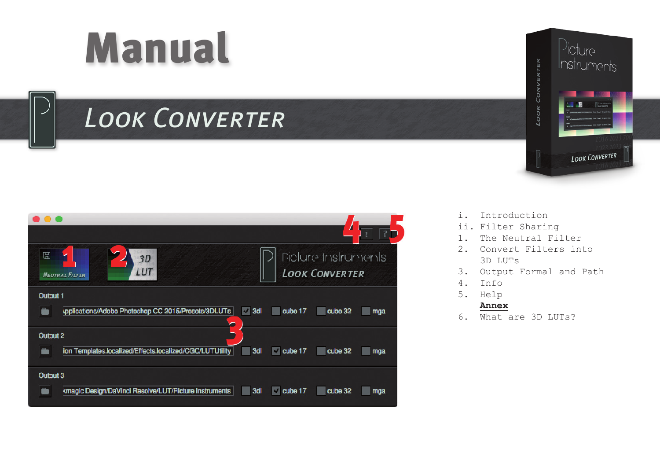# Manual

# *Look Converter*





- i. Introduction
- ii. Filter Sharing<br>1 The Neutral Fi
- The Neutral Filter
- 2. Convert Filters into 3D LUTs
- 3. Output Formal and Path<br>4 Info
- $Inf\circ$
- 5. Help

#### **Annex**

6. What are 3D LUTs?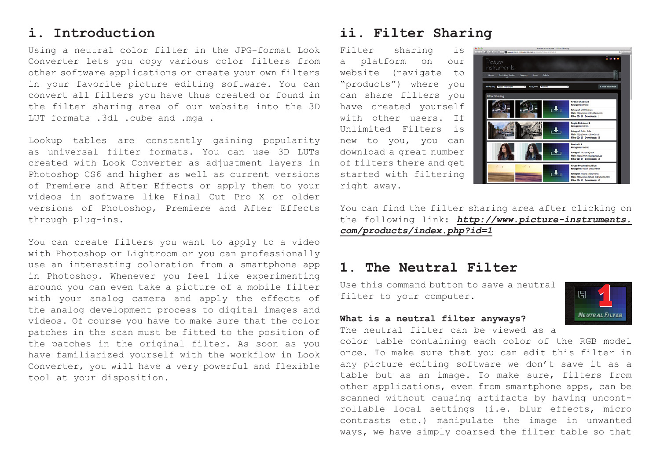#### **i. Introduction**

Using a neutral color filter in the JPG-format Look Converter lets you copy various color filters from other software applications or create your own filters in your favorite picture editing software. You can convert all filters you have thus created or found in the filter sharing area of our website into the 3D LUT formats .3dl .cube and .mga .

Lookup tables are constantly gaining popularity as universal filter formats. You can use 3D LUTs created with Look Converter as adjustment layers in Photoshop CS6 and higher as well as current versions of Premiere and After Effects or apply them to your videos in software like Final Cut Pro X or older versions of Photoshop, Premiere and After Effects through plug-ins.

You can create filters you want to apply to a video with Photoshop or Lightroom or you can professionally use an interesting coloration from a smartphone app in Photoshop. Whenever you feel like experimenting around you can even take a picture of a mobile filter with your analog camera and apply the effects of the analog development process to digital images and videos. Of course you have to make sure that the color patches in the scan must be fitted to the position of the patches in the original filter. As soon as you have familiarized yourself with the workflow in Look Converter, you will have a very powerful and flexible tool at your disposition.

# **ii. Filter Sharing**

Filter sharing is a platform on our website (navigate to "products") where you can share filters you have created yourself with other users. If Unlimited Filters is new to you, you can download a great number of filters there and get started with filtering right away.



開

**NEUTRAL FILTER** 

You can find the filter sharing area after clicking on the following link: *http://www.picture-instruments. com/products/index.php?id=1*

#### **1. The Neutral Filter**

Use this command button to save a neutral filter to your computer.

#### **What is a neutral filter anyways?**

The neutral filter can be viewed as a

color table containing each color of the RGB model once. To make sure that you can edit this filter in any picture editing software we don't save it as a table but as an image. To make sure, filters from other applications, even from smartphone apps, can be scanned without causing artifacts by having uncontrollable local settings (i.e. blur effects, micro contrasts etc.) manipulate the image in unwanted ways, we have simply coarsed the filter table so that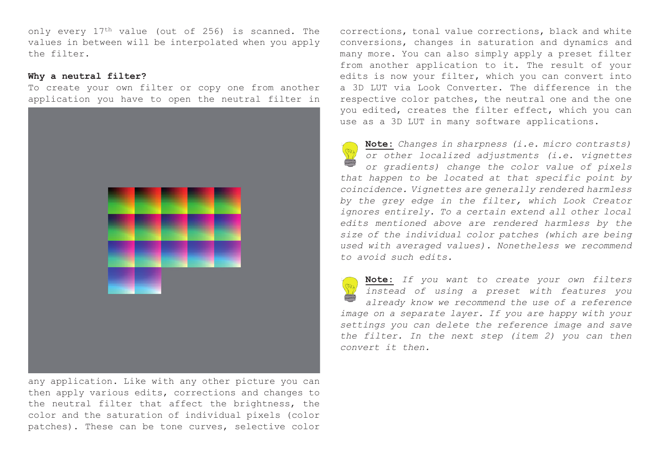only every 17th value (out of 256) is scanned. The values in between will be interpolated when you apply the filter.

#### **Why a neutral filter?**

To create your own filter or copy one from another application you have to open the neutral filter in



any application. Like with any other picture you can then apply various edits, corrections and changes to the neutral filter that affect the brightness, the color and the saturation of individual pixels (color patches). These can be tone curves, selective color corrections, tonal value corrections, black and white conversions, changes in saturation and dynamics and many more. You can also simply apply a preset filter from another application to it. The result of your edits is now your filter, which you can convert into a 3D LUT via Look Converter. The difference in the respective color patches, the neutral one and the one you edited, creates the filter effect, which you can use as a 3D LUT in many software applications.

**Note:** *Changes in sharpness (i.e. micro contrasts) or other localized adjustments (i.e. vignettes or gradients) change the color value of pixels that happen to be located at that specific point by coincidence. Vignettes are generally rendered harmless by the grey edge in the filter, which Look Creator ignores entirely. To a certain extend all other local edits mentioned above are rendered harmless by the size of the individual color patches (which are being used with averaged values). Nonetheless we recommend to avoid such edits.*

**Note:** *If you want to create your own filters instead of using a preset with features you already know we recommend the use of a reference image on a separate layer. If you are happy with your settings you can delete the reference image and save the filter. In the next step (item 2) you can then convert it then.*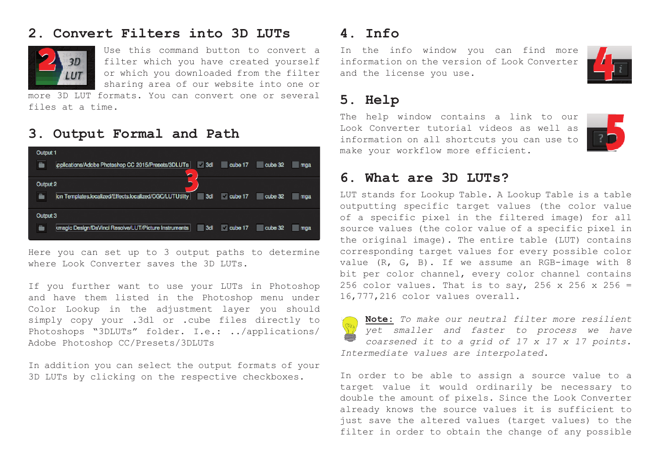# **2. Convert Filters into 3D LUTs**



Use this command button to convert a filter which you have created yourself or which you downloaded from the filter sharing area of our website into one or

more 3D LUT formats. You can convert one or several files at a time.

## **3. Output Formal and Path**



Here you can set up to 3 output paths to determine where Look Converter saves the 3D LUTs.

If you further want to use your LUTs in Photoshop and have them listed in the Photoshop menu under Color Lookup in the adjustment layer you should simply copy your .3dl or .cube files directly to Photoshops "3DLUTs" folder. I.e.: ../applications/ Adobe Photoshop CC/Presets/3DLUTs

In addition you can select the output formats of your 3D LUTs by clicking on the respective checkboxes.

## **4. Info**

In the info window you can find more information on the version of Look Converter and the license you use.

# **5. Help**

The help window contains a link to our Look Converter tutorial videos as well as information on all shortcuts you can use to make your workflow more efficient.



#### **6. What are 3D LUTs?**

LUT stands for Lookup Table. A Lookup Table is a table outputting specific target values (the color value of a specific pixel in the filtered image) for all source values (the color value of a specific pixel in the original image). The entire table (LUT) contains corresponding target values for every possible color value (R, G, B). If we assume an RGB-image with 8 bit per color channel, every color channel contains 256 color values. That is to say, 256 x 256 x 256 = 16,777,216 color values overall.

**Note:** *To make our neutral filter more resilient yet smaller and faster to process we have coarsened it to a grid of 17 x 17 x 17 points. Intermediate values are interpolated.*

In order to be able to assign a source value to a target value it would ordinarily be necessary to double the amount of pixels. Since the Look Converter already knows the source values it is sufficient to just save the altered values (target values) to the filter in order to obtain the change of any possible